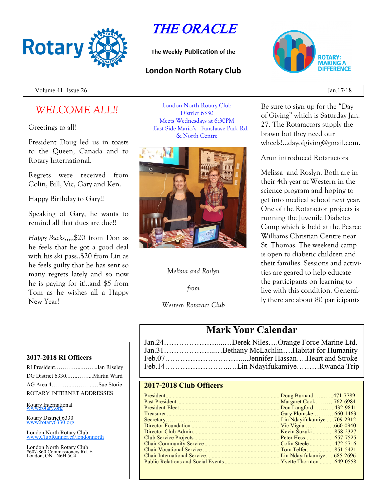

THE ORACLE

**The Weekly Publication of the**

## **London North Rotary Club**



Volume 41 Issue 26 Jan. 17/18

# *WELCOME ALL!!*

Greetings to all!

President Doug led us in toasts to the Queen, Canada and to Rotary International.

Regrets were received from Colin, Bill, Vic, Gary and Ken.

Happy Birthday to Gary!!

Speaking of Gary, he wants to remind all that dues are due!!

*Happy Bucks*,,,,,\$20 from Don as he feels that he got a good deal with his ski pass..\$20 from Lin as he feels guilty that he has sent so many regrets lately and so now he is paying for it!..and \$5 from Tom as he wishes all a Happy New Year!

London North Rotary Club District 6330 Meets Wednesdays at 6:30PM East Side Mario's Fanshawe Park Rd. & North Centre



## *Melissa and Roslyn*

*from*

*Western Rotaract Club*

Be sure to sign up for the "Day of Giving" which is Saturday Jan. 27. The Rotaractors supply the brawn but they need our wheels!...dayofgiving@gmail.com.

Arun introduced Rotaractors

Melissa and Roslyn. Both are in their 4th year at Western in the science program and hoping to get into medical school next year. One of the Rotaractor projects is running the Juvenile Diabetes Camp which is held at the Pearce Williams Christian Centre near St. Thomas. The weekend camp is open to diabetic children and their families. Sessions and activities are geared to help educate the participants on learning to live with this condition. Generally there are about 80 participants

## **Mark Your Calendar**

| Jan.24Derek NilesOrange Force Marine Ltd.   |
|---------------------------------------------|
| Jan.31Bethany McLachlinHabitat for Humanity |
|                                             |
|                                             |

## **2017-2018 Club Officers**

#### **2017-2018 RI Officers**

| RI PresidentIan Riseley     |  |
|-----------------------------|--|
| DG District 6330Martin Ward |  |
| AG Area 4Sue Storie         |  |
| ROTARY INTERNET ADDRESSES   |  |
|                             |  |

#### Rotary International

Rotary District 6330 [www.rotary6330.org](http://www.rotary6330.org/)

London North Rotary Club IubRunner.ca/londonnorth

London North Rotary Club #607-860 Commissioners Rd. E. London, ON N6H 5C4